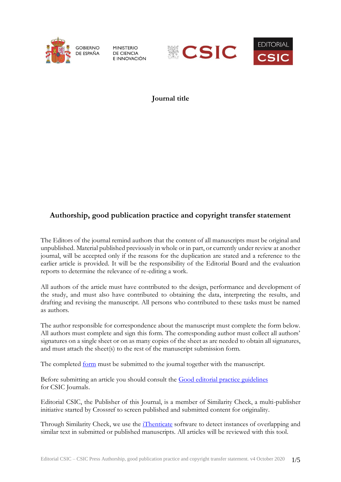

**MINISTERIO DE CIENCIA** E INNOVACIÓN





**Journal title**

## **Authorship, good publication practice and copyright transfer statement**

The Editors of the journal remind authors that the content of all manuscripts must be original and unpublished. Material published previously in whole or in part, or currently under review at another journal, will be accepted only if the reasons for the duplication are stated and a reference to the earlier article is provided. It will be the responsibility of the Editorial Board and the evaluation reports to determine the relevance of re-editing a work.

All authors of the article must have contributed to the design, performance and development of the study, and must also have contributed to obtaining the data, interpreting the results, and drafting and revising the manuscript. All persons who contributed to these tasks must be named as authors.

The author responsible for correspondence about the manuscript must complete the form below. All authors must complete and sign this form. The corresponding author must collect all authors' signatures on a single sheet or on as many copies of the sheet as are needed to obtain all signatures, and must attach the sheet(s) to the rest of the manuscript submission form.

The completed [form](http://revistas.csic.es/public/copyright_transfer_statement_CSIC.pdf) must be submitted to the journal together with the manuscript.

Before submitting an article you should consult the [Good editorial practice guidelines](http://revistas.csic.es/public/publication_guidelines_CSIC.pdf) for CSIC Journals.

Editorial CSIC, the Publisher of this Journal, is a member of Similarity Check, a multi-publisher initiative started by Crossref to screen published and submitted content for originality.

Through Similarity Check, we use the [iThenticate](http://www.ithenticate.com/) software to detect instances of overlapping and similar text in submitted or published manuscripts. All articles will be reviewed with this tool.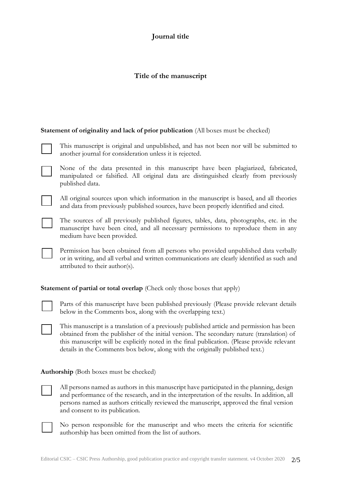## **Journal title**

## **Title of the manuscript**

**Statement of originality and lack of prior publication** (All boxes must be checked)

| This manuscript is original and unpublished, and has not been nor will be submitted to |
|----------------------------------------------------------------------------------------|
| another journal for consideration unless it is rejected.                               |

None of the data presented in this manuscript have been plagiarized, fabricated, manipulated or falsified. All original data are distinguished clearly from previously published data.

All original sources upon which information in the manuscript is based, and all theories and data from previously published sources, have been properly identified and cited.

The sources of all previously published figures, tables, data, photographs, etc. in the manuscript have been cited, and all necessary permissions to reproduce them in any medium have been provided.

Permission has been obtained from all persons who provided unpublished data verbally or in writing, and all verbal and written communications are clearly identified as such and attributed to their author(s).

**Statement of partial or total overlap** (Check only those boxes that apply)

Parts of this manuscript have been published previously (Please provide relevant details below in the Comments box, along with the overlapping text.)

This manuscript is a translation of a previously published article and permission has been obtained from the publisher of the initial version. The secondary nature (translation) of this manuscript will be explicitly noted in the final publication. (Please provide relevant details in the Comments box below, along with the originally published text.)

**Authorship** (Both boxes must be checked)

All persons named as authors in this manuscript have participated in the planning, design and performance of the research, and in the interpretation of the results. In addition, all persons named as authors critically reviewed the manuscript, approved the final version and consent to its publication.

No person responsible for the manuscript and who meets the criteria for scientific authorship has been omitted from the list of authors.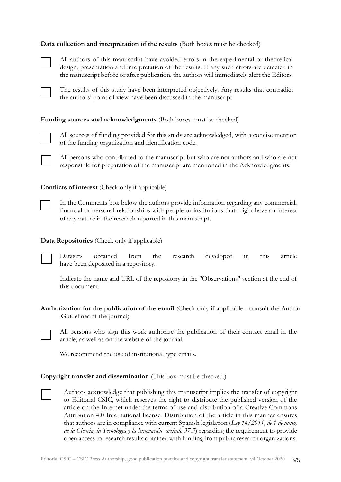#### **Data collection and interpretation of the results** (Both boxes must be checked)



All authors of this manuscript have avoided errors in the experimental or theoretical design, presentation and interpretation of the results. If any such errors are detected in the manuscript before or after publication, the authors will immediately alert the Editors.



The results of this study have been interpreted objectively. Any results that contradict the authors' point of view have been discussed in the manuscript.

#### Funding sources and acknowledgments (Both boxes must be checked)



All sources of funding provided for this study are acknowledged, with a concise mention of the funding organization and identification code.

All persons who contributed to the manuscript but who are not authors and who are not responsible for preparation of the manuscript are mentioned in the Acknowledgments.

**Conflicts of interest** (Check only if applicable)



In the Comments box below the authors provide information regarding any commercial, financial or personal relationships with people or institutions that might have an interest of any nature in the research reported in this manuscript.

#### **Data Repositories** (Check only if applicable)



Datasets obtained from the research developed in this article have been deposited in a repository.

Indicate the name and URL of the repository in the "Observations" section at the end of this document.

**Authorization for the publication of the email** (Check only if applicable - consult the Author Guidelines of the journal)



All persons who sign this work authorize the publication of their contact email in the article, as well as on the website of the journal.

We recommend the use of institutional type emails.

#### **Copyright transfer and dissemination** (This box must be checked.)

Authors acknowledge that publishing this manuscript implies the transfer of copyright to Editorial CSIC, which reserves the right to distribute the published version of the article on the Internet under the terms of use and distribution of a Creative Commons Attribution 4.0 International license*.* Distribution of the article in this manner ensures that authors are in compliance with current Spanish legislation (*Ley 14/2011, de 1 de junio, de la Ciencia, la Tecnología y la Innovación, artículo 37.3*) regarding the requirement to provide open access to research results obtained with funding from public research organizations.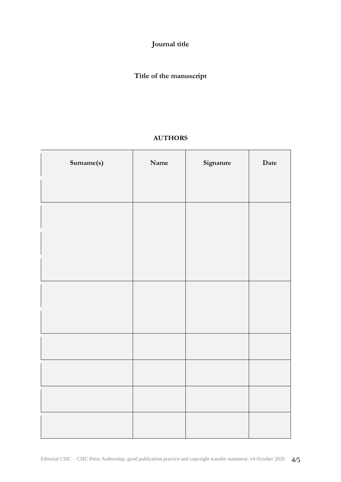**Journal title**

# **Title of the manuscript**

## **AUTHORS**

| Surname(s) | Name | Signature | Date |
|------------|------|-----------|------|
|            |      |           |      |
|            |      |           |      |
|            |      |           |      |
|            |      |           |      |
|            |      |           |      |
|            |      |           |      |
|            |      |           |      |
|            |      |           |      |
|            |      |           |      |
|            |      |           |      |